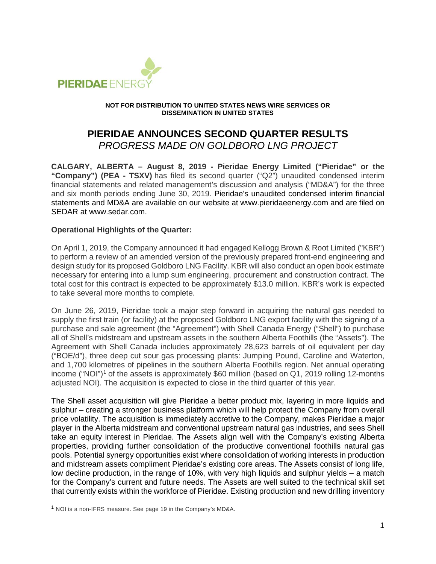

#### **NOT FOR DISTRIBUTION TO UNITED STATES NEWS WIRE SERVICES OR DISSEMINATION IN UNITED STATES**

# **PIERIDAE ANNOUNCES SECOND QUARTER RESULTS**

*PROGRESS MADE ON GOLDBORO LNG PROJECT*

**CALGARY, ALBERTA – August 8, 2019 - Pieridae Energy Limited ("Pieridae" or the "Company") (PEA - TSXV)** has filed its second quarter ("Q2") unaudited condensed interim financial statements and related management's discussion and analysis ("MD&A") for the three and six month periods ending June 30, 2019. Pieridae's unaudited condensed interim financial statements and MD&A are available on our website at www.pieridaeenergy.com and are filed on SEDAR at www.sedar.com.

### **Operational Highlights of the Quarter:**

On April 1, 2019, the Company announced it had engaged Kellogg Brown & Root Limited ("KBR") to perform a review of an amended version of the previously prepared front-end engineering and design study for its proposed Goldboro LNG Facility. KBR will also conduct an open book estimate necessary for entering into a lump sum engineering, procurement and construction contract. The total cost for this contract is expected to be approximately \$13.0 million. KBR's work is expected to take several more months to complete.

On June 26, 2019, Pieridae took a major step forward in acquiring the natural gas needed to supply the first train (or facility) at the proposed Goldboro LNG export facility with the signing of a purchase and sale agreement (the "Agreement") with Shell Canada Energy ("Shell") to purchase all of Shell's midstream and upstream assets in the southern Alberta Foothills (the "Assets"). The Agreement with Shell Canada includes approximately 28,623 barrels of oil equivalent per day ("BOE/d"), three deep cut sour gas processing plants: Jumping Pound, Caroline and Waterton, and 1,700 kilometres of pipelines in the southern Alberta Foothills region. Net annual operating income ("NOI")<sup>[1](#page-0-0)</sup> of the assets is approximately \$60 million (based on Q1, 2019 rolling 12-months adjusted NOI). The acquisition is expected to close in the third quarter of this year.

The Shell asset acquisition will give Pieridae a better product mix, layering in more liquids and sulphur – creating a stronger business platform which will help protect the Company from overall price volatility. The acquisition is immediately accretive to the Company, makes Pieridae a major player in the Alberta midstream and conventional upstream natural gas industries, and sees Shell take an equity interest in Pieridae. The Assets align well with the Company's existing Alberta properties, providing further consolidation of the productive conventional foothills natural gas pools. Potential synergy opportunities exist where consolidation of working interests in production and midstream assets compliment Pieridae's existing core areas. The Assets consist of long life, low decline production, in the range of 10%, with very high liquids and sulphur yields – a match for the Company's current and future needs. The Assets are well suited to the technical skill set that currently exists within the workforce of Pieridae. Existing production and new drilling inventory

<span id="page-0-0"></span> <sup>1</sup> NOI is a non-IFRS measure. See page 19 in the Company's MD&A.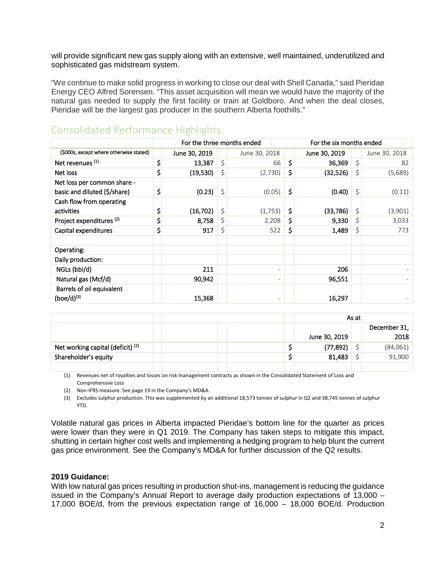will provide significant new gas supply along with an extensive, well maintained, underutilized and sophisticated gas midstream system.

"We continue to make solid progress in working to close our deal with Shell Canada," said Pieridae Energy CEO Alfred Sorensen. "This asset acquisition will mean we would have the majority of the natural gas needed to supply the first facility or train at Goldboro. And when the deal closes, Pieridae will be the largest gas producer in the southern Alberta foothills."

|                                                             | For the three months ended |               |    |               | For the six months ended |    |               |    |               |  |
|-------------------------------------------------------------|----------------------------|---------------|----|---------------|--------------------------|----|---------------|----|---------------|--|
| (\$000s, except where otherwise stated)                     |                            | June 30, 2019 |    | June 30, 2018 |                          |    | June 30, 2019 |    | June 30, 2018 |  |
| Net revenues <sup>(1)</sup>                                 | \$                         | 13,387        | \$ |               | 66                       | \$ | 36,369        | \$ | 82            |  |
| Net loss                                                    | \$                         | (19,530)      | \$ | (2,730)       |                          | \$ | (32, 526)     | \$ | (5,689)       |  |
| Net loss per common share -<br>basic and diluted (\$/share) | \$                         | (0.23)        | \$ | (0.05)        |                          | \$ | (0.40)        | \$ | (0.11)        |  |
| Cash flow from operating<br>activities                      | \$                         | (16, 702)     | \$ | (1,753)       |                          | \$ | (33, 786)     | \$ | (3,901)       |  |
| Project expenditures <sup>(2)</sup>                         | \$                         | 8,758         | \$ | 2,208         |                          | \$ | 9,330         | \$ | 3,033         |  |
| Capital expenditures                                        | \$                         | 917           | \$ | 522           |                          | \$ | 1,489         | \$ | 773           |  |
| Operating:                                                  |                            |               |    |               |                          |    |               |    |               |  |
| Daily production:                                           |                            |               |    |               |                          |    |               |    |               |  |
| NGLs (bbl/d)                                                |                            | 211           |    |               | $\overline{\phantom{a}}$ |    | 206           |    |               |  |
| Natural gas (Mcf/d)                                         |                            | 90,942        |    |               | $\overline{\phantom{a}}$ |    | 96,551        |    |               |  |
| Barrels of oil equivalent<br>$(boe/d)^{(3)}$                |                            | 15,368        |    |               | $\overline{\phantom{a}}$ |    | 16,297        |    |               |  |

## Consolidated Performance Highlights

|                                              |  | As at         |  |              |
|----------------------------------------------|--|---------------|--|--------------|
|                                              |  |               |  | December 31, |
|                                              |  | June 30, 2019 |  | 2018         |
| Net working capital (deficit) <sup>(2)</sup> |  | (77, 892)     |  | (84,061)     |
| Shareholder's equity                         |  | 81,483        |  | 91,900       |
|                                              |  |               |  |              |

(1) Revenues net of royalties and losses on risk management contracts as shown in the Consolidated Statement of Loss and Comprehensive Loss

(2) Non-IFRS measure. See page 19 in the Company's MD&A.

(3) Excludes sulphur production. This was supplemented by an additional 18,573 tonnes of sulphur in Q2 and 38,745 tonnes of sulphur YTD.

Volatile natural gas prices in Alberta impacted Pieridae's bottom line for the quarter as prices were lower than they were in Q1 2019. The Company has taken steps to mitigate this impact, shutting in certain higher cost wells and implementing a hedging program to help blunt the current gas price environment. See the Company's MD&A for further discussion of the Q2 results.

#### **2019 Guidance:**

With low natural gas prices resulting in production shut-ins, management is reducing the guidance issued in the Company's Annual Report to average daily production expectations of 13,000 – 17,000 BOE/d, from the previous expectation range of 16,000 – 18,000 BOE/d. Production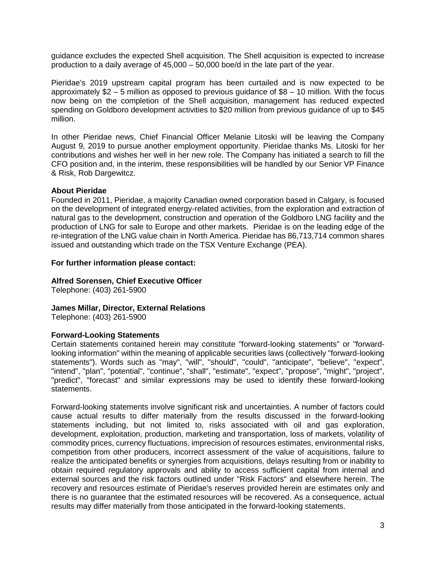guidance excludes the expected Shell acquisition. The Shell acquisition is expected to increase production to a daily average of 45,000 – 50,000 boe/d in the late part of the year.

Pieridae's 2019 upstream capital program has been curtailed and is now expected to be approximately \$2 – 5 million as opposed to previous guidance of \$8 – 10 million. With the focus now being on the completion of the Shell acquisition, management has reduced expected spending on Goldboro development activities to \$20 million from previous guidance of up to \$45 million.

In other Pieridae news, Chief Financial Officer Melanie Litoski will be leaving the Company August 9, 2019 to pursue another employment opportunity. Pieridae thanks Ms. Litoski for her contributions and wishes her well in her new role. The Company has initiated a search to fill the CFO position and, in the interim, these responsibilities will be handled by our Senior VP Finance & Risk, Rob Dargewitcz.

#### **About Pieridae**

Founded in 2011, Pieridae, a majority Canadian owned corporation based in Calgary, is focused on the development of integrated energy-related activities, from the exploration and extraction of natural gas to the development, construction and operation of the Goldboro LNG facility and the production of LNG for sale to Europe and other markets. Pieridae is on the leading edge of the re-integration of the LNG value chain in North America. Pieridae has 86,713,714 common shares issued and outstanding which trade on the TSX Venture Exchange (PEA).

#### **For further information please contact:**

#### **Alfred Sorensen, Chief Executive Officer**

Telephone: (403) 261-5900

#### **James Millar, Director, External Relations**

Telephone: (403) 261-5900

#### **Forward-Looking Statements**

Certain statements contained herein may constitute "forward-looking statements" or "forwardlooking information" within the meaning of applicable securities laws (collectively "forward-looking statements"). Words such as "may", "will", "should", "could", "anticipate", "believe", "expect", "intend", "plan", "potential", "continue", "shall", "estimate", "expect", "propose", "might", "project", "predict", "forecast" and similar expressions may be used to identify these forward-looking statements.

Forward-looking statements involve significant risk and uncertainties. A number of factors could cause actual results to differ materially from the results discussed in the forward-looking statements including, but not limited to, risks associated with oil and gas exploration, development, exploitation, production, marketing and transportation, loss of markets, volatility of commodity prices, currency fluctuations, imprecision of resources estimates, environmental risks, competition from other producers, incorrect assessment of the value of acquisitions, failure to realize the anticipated benefits or synergies from acquisitions, delays resulting from or inability to obtain required regulatory approvals and ability to access sufficient capital from internal and external sources and the risk factors outlined under "Risk Factors" and elsewhere herein. The recovery and resources estimate of Pieridae's reserves provided herein are estimates only and there is no guarantee that the estimated resources will be recovered. As a consequence, actual results may differ materially from those anticipated in the forward-looking statements.